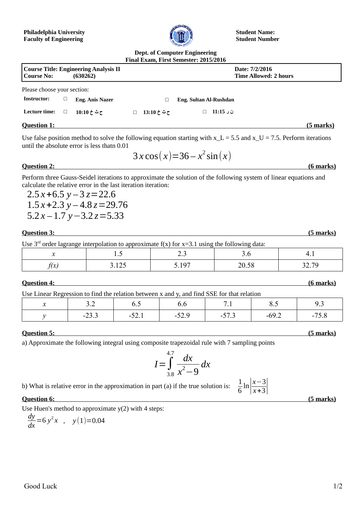#### **Philadelphia University Faculty of Engineering**



**Student Name: Student Number**

#### **Dept. of Computer Engineering Final Exam, First Semester: 2015/2016**

|                                                                   |        |                        |   |             | Filial Exaili, First Selliester; 2013/2010 |                                                |                  |
|-------------------------------------------------------------------|--------|------------------------|---|-------------|--------------------------------------------|------------------------------------------------|------------------|
| Course Title: Engineering Analysis II<br>  Course No:<br>(630262) |        |                        |   |             |                                            | Date: 7/2/2016<br><b>Time Allowed: 2 hours</b> |                  |
| Please choose your section:                                       |        |                        |   |             |                                            |                                                |                  |
| Instructor:                                                       |        | <b>Eng. Anis Nazer</b> |   | a           | Eng. Sultan Al-Rushdan                     |                                                |                  |
| Lecture time:                                                     | $\Box$ | ح ٹ خ 10:10            | □ | ح ٹ خ 13:10 | ن ر 11:15                                  |                                                |                  |
| <b>Question 1:</b>                                                |        |                        |   |             |                                            |                                                | <u>(5 marks)</u> |

Use false position method to solve the following equation starting with  $x_L = 5.5$  and  $x_U = 7.5$ . Perform iterations until the absolute error is less thatn 0.01

$$
3x\cos(x)=36-x^2\sin(x)
$$

## **Question 2: (6 marks)**

Perform three Gauss-Seidel iterations to approximate the solution of the following system of linear equations and calculate the relative error in the last iteration iteration:

 $2.5x + 6.5y - 3z = 22.6$  $1.5x + 2.3y - 4.8z = 29.76$ 5.2 *x –* 1.7 *y*−3.2 *z*=5.33

#### *Question 3:* (5 marks)

Use  $3<sup>rd</sup>$  order lagrange interpolation to approximate f(x) for x=3.1 using the following data:

| . . | $\cdot \cdot$       | ر. پ | $\sim\cdot\,\sim$ | .                 |
|-----|---------------------|------|-------------------|-------------------|
|     | $\Delta$ r<br>J.12J | 107  |                   | $\sqrt{2}$<br>J 1 |

*<u>Ouestion 4:* (6 marks)</u>

Use Linear Regression to find the relation between  $x$  and  $y$ , and find SSE for that relation

| ose much regression to muc the relation occurrent mand $\eta$ and muc ose for that relation |                   |                         |         |   |                         |                                                 |  |  |
|---------------------------------------------------------------------------------------------|-------------------|-------------------------|---------|---|-------------------------|-------------------------------------------------|--|--|
|                                                                                             | ◡.↩               | ◡.◡                     | υ.υ     |   | $\mathsf{v} \mathsf{v}$ | ر .                                             |  |  |
|                                                                                             | $\sim$<br>$-25.5$ | $\sim$<br>$J\Delta$ . 1 | ر . بار | . | ∨∠.                     | -<br>$\mathsf{\sim}\mathsf{\cdot}\mathsf{\sim}$ |  |  |

# **Question 5: (5 marks)**

a) Approximate the following integral using composite trapezoidal rule with 7 sampling points

$$
I = \int_{3.8}^{4.7} \frac{dx}{x^2 - 9} dx
$$

b) What is relative error in the approximation in part (a) if the true solution is: <sup>1</sup>

 $\frac{1}{6}$ ln  $\left| \frac{x-3}{x+3} \right|$ *x*+3|

#### **Question 6: (5 marks)**

Use Huen's method to approximate y(2) with 4 steps:

$$
\frac{dy}{dx} = 6y^2x , y(1) = 0.04
$$